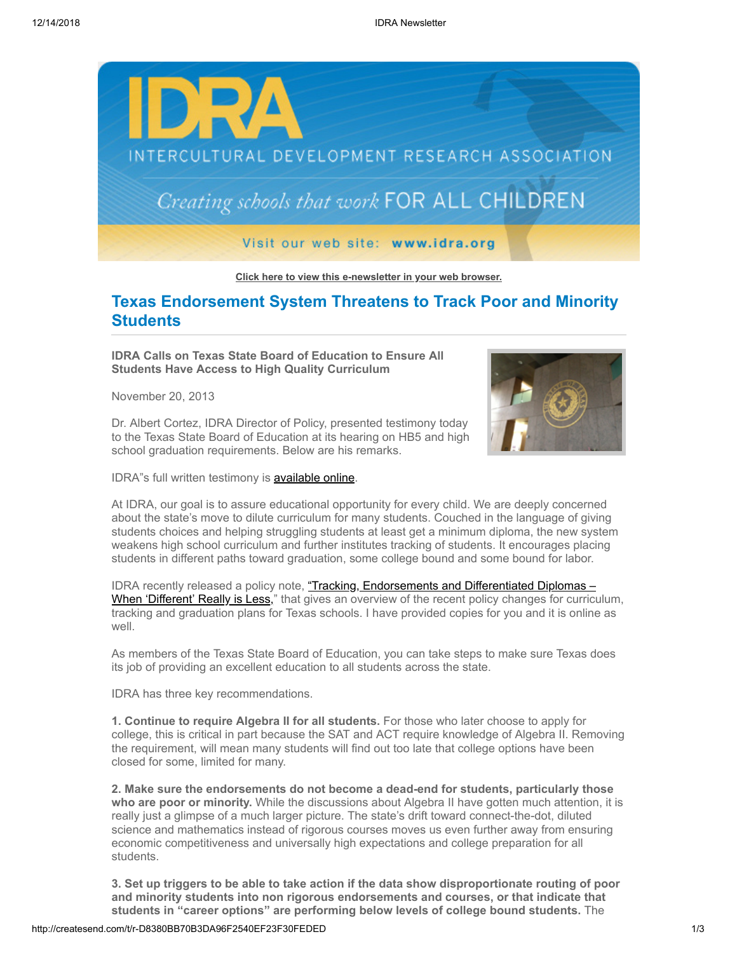

**[Click here to view this e-newsletter in your web browser.](http://newsletter.impulsedevelopment.com/t/r-e-nhydja-l-r/)**

## **Texas Endorsement System Threatens to Track Poor and Minority Students**

**IDRA Calls on Texas State Board of Education to Ensure All Students Have Access to High Quality Curriculum**

November 20, 2013



Dr. Albert Cortez, IDRA Director of Policy, presented testimony today to the Texas State Board of Education at its hearing on HB5 and high school graduation requirements. Below are his remarks.

IDRA"s full written testimony is **[available online](http://idra.createsend1.com/t/r-l-nhydja-l-i/)**.

At IDRA, our goal is to assure educational opportunity for every child. We are deeply concerned about the state's move to dilute curriculum for many students. Couched in the language of giving students choices and helping struggling students at least get a minimum diploma, the new system weakens high school curriculum and further institutes tracking of students. It encourages placing students in different paths toward graduation, some college bound and some bound for labor.

IDRA recently released a policy note, "Tracking, Endorsements and Differentiated Diplomas -When 'Different' Really is Less," that gives an overview of the recent policy changes for curriculum, tracking and graduation plans for Texas schools. I have provided copies for you and it is online as well.

As members of the Texas State Board of Education, you can take steps to make sure Texas does its job of providing an excellent education to all students across the state.

IDRA has three key recommendations.

**1. Continue to require Algebra II for all students.** For those who later choose to apply for college, this is critical in part because the SAT and ACT require knowledge of Algebra II. Removing the requirement, will mean many students will find out too late that college options have been closed for some, limited for many.

**2. Make sure the endorsements do not become a dead-end for students, particularly those who are poor or minority.** While the discussions about Algebra II have gotten much attention, it is really just a glimpse of a much larger picture. The state's drift toward connect-the-dot, diluted science and mathematics instead of rigorous courses moves us even further away from ensuring economic competitiveness and universally high expectations and college preparation for all students.

**3. Set up triggers to be able to take action if the data show disproportionate routing of poor and minority students into non rigorous endorsements and courses, or that indicate that students in "career options" are performing below levels of college bound students.** The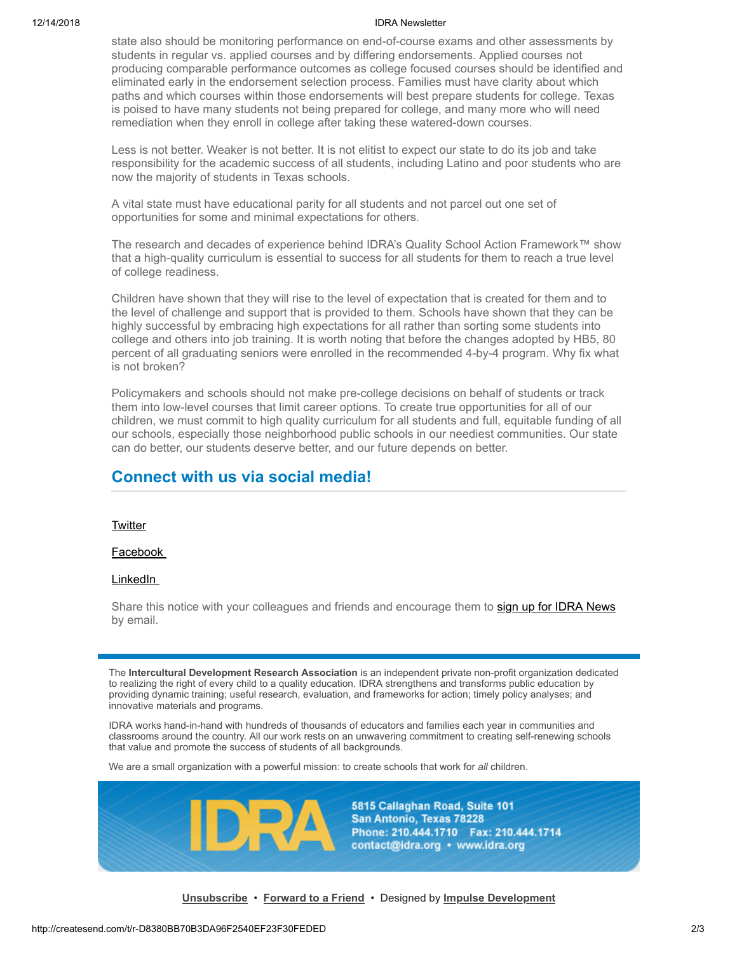## 12/14/2018 IDRA Newsletter

state also should be monitoring performance on end-of-course exams and other assessments by students in regular vs. applied courses and by differing endorsements. Applied courses not producing comparable performance outcomes as college focused courses should be identified and eliminated early in the endorsement selection process. Families must have clarity about which paths and which courses within those endorsements will best prepare students for college. Texas is poised to have many students not being prepared for college, and many more who will need remediation when they enroll in college after taking these watered-down courses.

Less is not better. Weaker is not better. It is not elitist to expect our state to do its job and take responsibility for the academic success of all students, including Latino and poor students who are now the majority of students in Texas schools.

A vital state must have educational parity for all students and not parcel out one set of opportunities for some and minimal expectations for others.

The research and decades of experience behind IDRA's Quality School Action Framework™ show that a high-quality curriculum is essential to success for all students for them to reach a true level of college readiness.

Children have shown that they will rise to the level of expectation that is created for them and to the level of challenge and support that is provided to them. Schools have shown that they can be highly successful by embracing high expectations for all rather than sorting some students into college and others into job training. It is worth noting that before the changes adopted by HB5, 80 percent of all graduating seniors were enrolled in the recommended 4-by-4 program. Why fix what is not broken?

Policymakers and schools should not make pre-college decisions on behalf of students or track them into low-level courses that limit career options. To create true opportunities for all of our children, we must commit to high quality curriculum for all students and full, equitable funding of all our schools, especially those neighborhood public schools in our neediest communities. Our state can do better, our students deserve better, and our future depends on better.

## **Connect with us via social media!**

**[Twitter](http://idra.createsend1.com/t/r-l-nhydja-l-o/)** 

[Facebook](http://idra.createsend1.com/t/r-l-nhydja-l-b/) 

[LinkedIn](http://idra.createsend1.com/t/r-l-nhydja-l-n/) 

Share this notice with your colleagues and friends and encourage them to [sign up for IDRA News](http://idra.createsend1.com/t/r-l-nhydja-l-p/) by email.

The **Intercultural Development Research Association** is an independent private non-profit organization dedicated to realizing the right of every child to a quality education. IDRA strengthens and transforms public education by providing dynamic training; useful research, evaluation, and frameworks for action; timely policy analyses; and innovative materials and programs.

IDRA works hand-in-hand with hundreds of thousands of educators and families each year in communities and classrooms around the country. All our work rests on an unwavering commitment to creating self-renewing schools that value and promote the success of students of all backgrounds.

We are a small organization with a powerful mission: to create schools that work for *all* children.



5815 Callaghan Road, Suite 101 San Antonio, Texas 78228 Phone: 210.444.1710 Fax: 210.444.1714 contact@idra.org • www.idra.org

**[Unsubscribe](http://createsend.com/functionalityDisabled.html)** • **[Forward to a Friend](http://idra.forwardtomyfriend.com/r-l-2AD73FFF-nhydja-l-j)** • Designed by **[Impulse Development](http://idra.createsend1.com/t/r-l-nhydja-l-m/)**